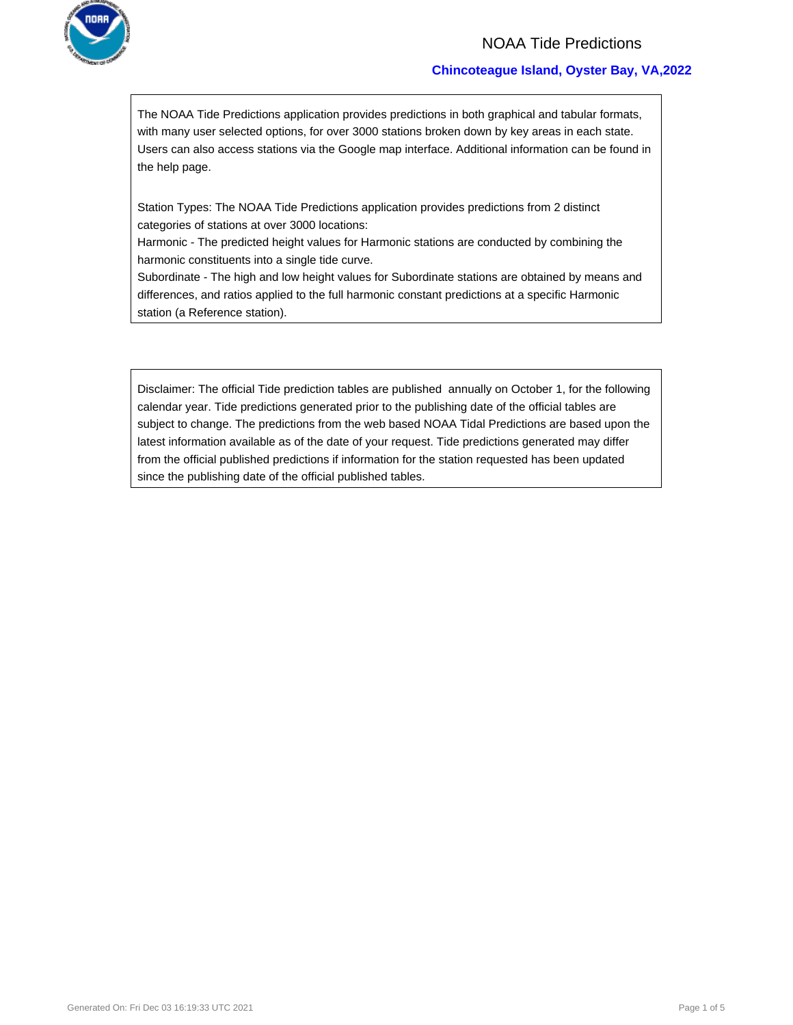

### NOAA Tide Predictions

### **Chincoteague Island, Oyster Bay, VA,2022**

The NOAA Tide Predictions application provides predictions in both graphical and tabular formats, with many user selected options, for over 3000 stations broken down by key areas in each state. Users can also access stations via the Google map interface. Additional information can be found in the help page.

Station Types: The NOAA Tide Predictions application provides predictions from 2 distinct categories of stations at over 3000 locations:

Harmonic - The predicted height values for Harmonic stations are conducted by combining the harmonic constituents into a single tide curve.

Subordinate - The high and low height values for Subordinate stations are obtained by means and differences, and ratios applied to the full harmonic constant predictions at a specific Harmonic station (a Reference station).

Disclaimer: The official Tide prediction tables are published annually on October 1, for the following calendar year. Tide predictions generated prior to the publishing date of the official tables are subject to change. The predictions from the web based NOAA Tidal Predictions are based upon the latest information available as of the date of your request. Tide predictions generated may differ from the official published predictions if information for the station requested has been updated since the publishing date of the official published tables.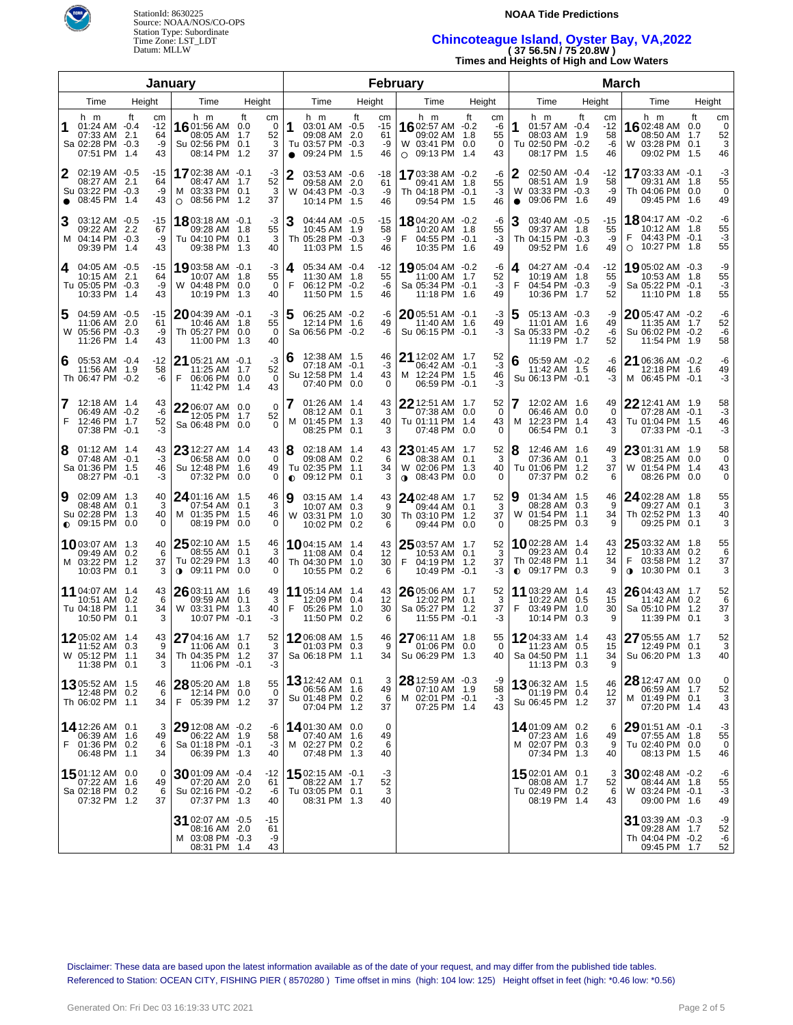



# Time Zone: LST\_LDT **Chincoteague Island, Oyster Bay, VA,2022**  Datum: MLLW **( 37 56.5N / 75 20.8W )**

**Times and Heights of High and Low Waters** 

| January        |                                                                              |      |                               |                                                                        |                                      |                            |                                                                                            |      |                               | February                                                                       |                                        | <b>March</b>                                                                          |                                   |                                                                                          |                   |                          |  |
|----------------|------------------------------------------------------------------------------|------|-------------------------------|------------------------------------------------------------------------|--------------------------------------|----------------------------|--------------------------------------------------------------------------------------------|------|-------------------------------|--------------------------------------------------------------------------------|----------------------------------------|---------------------------------------------------------------------------------------|-----------------------------------|------------------------------------------------------------------------------------------|-------------------|--------------------------|--|
| Time<br>Height |                                                                              | Time | Height                        |                                                                        | Time                                 |                            | Height                                                                                     | Time | Height                        | Time                                                                           | Height                                 | Time                                                                                  | Height                            |                                                                                          |                   |                          |  |
| 1              | h m<br>$01:24$ AM $-0.4$<br>07:33 AM 2.1<br>Sa 02:28 PM -0.3<br>07:51 PM 1.4 | ft   | cm<br>$-12$<br>64<br>-9<br>43 | h m<br>16 01:56 AM<br>08:05 AM<br>Su 02:56 PM<br>08:14 PM              | ft<br>cm<br>0.0<br>1.7<br>0.1<br>1.2 | $\Omega$<br>52<br>3<br>37  | h m<br>1<br>03:01 AM -0.5<br>09:08 AM 2.0<br>Tu 03:57 PM -0.3<br>09:24 PM 1.5<br>$\bullet$ | ft   | cm<br>$-15$<br>61<br>-9<br>46 | h m<br>1602:57 AM $-0.2$<br>09:02 AM 1.8<br>W 03:41 PM 0.0<br>$\circ$ 09:13 PM | ft<br>cm<br>-6<br>55<br>0<br>1.4<br>43 | h m<br>1<br>01:57 AM -0.4<br>08:03 AM 1.9<br>Tu 02:50 PM -0.2<br>08:17 PM 1.5         | ft<br>cm<br>-12<br>58<br>-6<br>46 | h m<br><b>16</b> 02:48 AM<br>08:50 AM<br>W 03:28 PM 0.1<br>09:02 PM 1.5                  | ft<br>0.0<br>1.7  | cm<br>0<br>52<br>3<br>46 |  |
| 2<br>$\bullet$ | 02:19 AM -0.5<br>08:27 AM 2.1<br>Su 03:22 PM -0.3<br>08:45 PM 1.4            |      | -15<br>64<br>-9<br>43         | 1702:38 AM -0.1<br>08:47 AM<br>M 03:33 PM 0.1<br>08:56 PM<br>$\circ$   | 1.7<br>1.2                           | -3<br>52<br>3<br>37        | 2<br>03:53 AM -0.6<br>09:58 AM 2.0<br>W 04:43 PM -0.3<br>10:14 PM 1.5                      |      | -18<br>61<br>-9<br>46         | <b>17</b> 03:38 AM -0.2<br>09:41 AM 1.8<br>Th 04:18 PM -0.1<br>09:54 PM 1.5    | -6<br>55<br>$-3$<br>46                 | 2<br>02:50 AM -0.4<br>08:51 AM 1.9<br>W<br>03:33 PM -0.3<br>09:06 PM 1.6<br>$\bullet$ | -12<br>58<br>-9<br>49             | 1703:33 AM -0.1<br>09:31 AM 1.8<br>Th 04:06 PM 0.0<br>09:45 PM 1.6                       |                   | -3<br>55<br>0<br>49      |  |
| 3              | 03:12 AM -0.5<br>09:22 AM 2.2<br>M 04:14 PM -0.3<br>09:39 PM 1.4             |      | -15<br>67<br>-9<br>43         | 18 03:18 AM -0.1<br>09:28 AM 1.8<br>Tu 04:10 PM 0.1<br>09:38 PM        | 1.3                                  | -3<br>55<br>3<br>40        | 04:44 AM -0.5<br>10:45 AM 1.9<br>Th 05:28 PM -0.3<br>11:03 PM 1.5                          |      | -15<br>58<br>-9<br>46         | <b>18</b> 04:20 AM -0.2<br>10:20 AM 1.8<br>F<br>04:55 PM -0.1<br>10:35 PM 1.6  | -6<br>55<br>$-3$<br>49                 | 03:40 AM -0.5<br>09:37 AM 1.8<br>Th 04:15 PM -0.3<br>09:52 PM 1.6                     | $-15$<br>55<br>-9<br>49           | <b>18</b> 04:17 AM -0.2<br>10:12 AM 1.8<br>F<br>04:43 PM -0.1<br>10:27 PM 1.8<br>$\circ$ |                   | -6<br>55<br>-3<br>55     |  |
| 4              | 04:05 AM -0.5<br>10:15 AM 2.1<br>Tu 05:05 PM -0.3<br>10:33 PM 1.4            |      | -15<br>64<br>-9<br>43         | 19903:58 AM -0.1<br>10:07 AM 1.8<br>W 04:48 PM<br>10:19 PM             | 0.0<br>1.3                           | -3<br>55<br>$\Omega$<br>40 | 05:34 AM -0.4<br>4<br>11:30 AM 1.8<br>F<br>06:12 PM -0.2<br>11:50 PM 1.5                   |      | $-12$<br>55<br>-6<br>46       | 19 05:04 AM -0.2<br>11:00 AM 1.7<br>Sa 05:34 PM -0.1<br>11:18 PM 1.6           | -6<br>52<br>$-3$<br>49                 | 04:27 AM -0.4<br>4<br>10:19 AM 1.8<br>F<br>04:54 PM -0.3<br>10:36 PM 1.7              | -12<br>55<br>-9<br>52             | 1905:02 AM -0.3<br>10:53 AM 1.8<br>Sa 05:22 PM -0.1<br>11:10 PM 1.8                      |                   | -9<br>55<br>-3<br>55     |  |
| 5              | 04:59 AM -0.5<br>11:06 AM 2.0<br>W 05:56 PM -0.3<br>11:26 PM 1.4             |      | -15<br>61<br>-9<br>43         | $2004:39$ AM $-0.1$<br>10:46 AM 1.8<br>Th 05:27 PM<br>11:00 PM         | 0.0<br>1.3<br>40                     | -3<br>55<br>$\Omega$       | 5<br>06:25 AM -0.2<br>12:14 PM 1.6<br>Sa 06:56 PM -0.2                                     |      | -6<br>49<br>-6                | 2005:51 AM -0.1<br>11:40 AM 1.6<br>Su 06:15 PM -0.1                            | -3<br>49<br>-3                         | 5<br>05:13 AM -0.3<br>11:01 AM 1.6<br>Sa 05:33 PM -0.2<br>11:19 PM 1.7                | -9<br>49<br>-6<br>52              | $20$ 05:47 AM -0.2<br>11:35 AM 1.7<br>Su 06:02 PM -0.2<br>11:54 PM 1.9                   |                   | -6<br>52<br>-6<br>58     |  |
| 6              | 05:53 AM -0.4<br>11:56 AM 1.9<br>Th 06:47 PM -0.2                            |      | $-12$<br>58<br>-6             | 21 05:21 AM -0.1<br>11:25 AM 1.7<br>F<br>06:06 PM<br>11:42 PM          | 0.0<br>43<br>-1.4                    | -3<br>52<br>$\Omega$       | 6<br>12:38 AM 1.5<br>07:18 AM -0.1<br>Su 12:58 PM 1.4<br>07:40 PM 0.0                      |      | 46<br>-3<br>43<br>$\Omega$    | 21 12:02 AM 1.7<br>06:42 AM -0.1<br>M 12:24 PM 1.5<br>06:59 PM -0.1            | 52<br>$-3$<br>46<br>-3                 | 05:59 AM -0.2<br>11:42 AM 1.5<br>Su 06:13 PM -0.1                                     | -6<br>46<br>-3                    | 21 06:36 AM -0.2<br>12:18 PM 1.6<br>M 06:45 PM -0.1                                      |                   | -6<br>49<br>-3           |  |
| 7<br>F         | 12:18 AM 1.4<br>06:49 AM -0.2<br>12:46 PM 1.7<br>07:38 PM -0.1               |      | 43<br>-6<br>52<br>-3          | 2206:07 AM 0.0<br>12:05 PM<br>Sa 06:48 PM 0.0                          | 1.7                                  | $\mathbf 0$<br>52<br>0     | $01:26$ AM $1.4$<br>08:12 AM 0.1<br>M 01:45 PM 1.3<br>08:25 PM                             | 0.1  | 43<br>3<br>40<br>3            | 22 12:51 AM 1.7<br>07:38 AM 0.0<br>Tu 01:11 PM 1.4<br>07:48 PM                 | 52<br>0<br>43<br>0.0<br>0              | 12:02 AM 1.6<br>06:46 AM 0.0<br>12:23 PM 1.4<br>M<br>06:54 PM 0.1                     | 49<br>0<br>43<br>3                | 22 12:41 AM 1.9<br>07:28 AM -0.1<br>Tu 01:04 PM 1.5<br>07:33 PM -0.1                     |                   | 58<br>-3<br>46<br>-3     |  |
| 8              | $01:12$ AM $1.4$<br>07:48 AM -0.1<br>Sa 01:36 PM 1.5<br>08:27 PM -0.1        |      | 43<br>-3<br>46<br>-3          | 23 12:27 AM 1.4<br>06:58 AM<br>Su 12:48 PM<br>07:32 PM                 | 43<br>0.0<br>1.6<br>0.0              | 0<br>49<br>0               | 8<br>02:18 AM 1.4<br>09:08 AM 0.2<br>Tu 02:35 PM 1.1<br>09:12 PM 0.1<br>$\bullet$          |      | 43<br>6<br>34<br>3            | 23 01:45 AM 1.7<br>08:38 AM 0.1<br>W 02:06 PM 1.3<br>$0.08:43$ PM 0.0          | 52<br>3<br>40<br>0                     | 8<br>12:46 AM 1.6<br>07:36 AM 0.1<br>Tu 01:06 PM 1.2<br>07:37 PM 0.2                  | 49<br>3<br>37<br>6                | 2301:31 AM 1.9<br>08:25 AM<br>W 01:54 PM<br>08:26 PM                                     | 0.0<br>1.4<br>0.0 | 58<br>0<br>43<br>0       |  |
| 9              | 02:09 AM 1.3<br>08:48 AM 0.1<br>Su 02:28 PM 1.3<br>$\bullet$ 09:15 PM 0.0    |      | 40<br>3<br>40<br>$\Omega$     | 24 01:16 AM 1.5<br>07:54 AM<br>M 01:35 PM<br>08:19 PM                  | 46<br>0.1<br>1.5<br>0.0              | 3<br>46<br>0               | 9<br>03:15 AM 1.4<br>10:07 AM 0.3<br>W 03:31 PM 1.0<br>10:02 PM 0.2                        |      | 43<br>9<br>30<br>6            | 24 02:48 AM 1.7<br>09:44 AM 0.1<br>Th 03:10 PM 1.2<br>09:44 PM 0.0             | 52<br>3<br>37<br>0                     | 01:34 AM 1.5<br>9<br>08:28 AM 0.3<br>W<br>01:54 PM 1.1<br>08:25 PM 0.3                | 46<br>9<br>34<br>9                | 2402:28 AM 1.8<br>09:27 AM 0.1<br>Th 02:52 PM<br>09:25 PM                                | - 1.3<br>0.1      | 55<br>3<br>40<br>3       |  |
|                | <b>10</b> 03:07 AM 1.3<br>09:49 AM 0.2<br>M 03:22 PM 1.2<br>10:03 PM 0.1     |      | 40<br>6<br>37<br>3            | 25 02:10 AM 1.5<br>08:55 AM<br>Tu 02:29 PM<br><b>↑ 09:11 PM</b>        | 46<br>0.1<br>1.3<br>0.0              | 3<br>40<br>0               | <b>10</b> 04:15 AM 1.4<br>11:08 AM 0.4<br>Th 04:30 PM 1.0<br>10:55 PM 0.2                  |      | 43<br>12<br>30<br>6           | 25 03:57 AM 1.7<br>10:53 AM 0.1<br>F<br>04:19 PM 1.2<br>10:49 PM -0.1          | 52<br>3<br>37<br>-3                    | 1002:28 AM 1.4<br>09:23 AM 0.4<br>Th 02:48 PM 1.1<br>$\bullet$ 09:17 PM 0.3           | 43<br>12<br>34<br>9               | 25 03:32 AM 1.8<br>10:33 AM 0.2<br>03:58 PM 1.2<br>F<br>10:30 PM 0.1<br>$\bullet$        |                   | 55<br>6<br>37<br>3       |  |
|                | 11 04:07 AM 1.4<br>10:51 AM 0.2<br>Tu 04:18 PM 1.1<br>10:50 PM 0.1           |      | 43<br>6<br>34<br>3            | 26 03:11 AM 1.6<br>09:59 AM 0.1<br>W 03:31 PM<br>10:07 PM -0.1         | 49<br>1.3                            | 3<br>40<br>-3              | 11 05:14 AM 1.4<br>12:09 PM 0.4<br>F<br>05:26 PM 1.0<br>11:50 PM 0.2                       |      | 43<br>12<br>30<br>6           | 26 05:06 AM 1.7<br>12:02 PM 0.1<br>Sa 05:27 PM 1.2<br>11:55 PM -0.1            | 52<br>3<br>37<br>-3                    | 11<br>03:29 AM 1.4<br>10:22 AM 0.5<br>F<br>03:49 PM 1.0<br>10:14 PM 0.3               | 43<br>15<br>30<br>9               | 26 04:43 AM 1.7<br>11:42 AM 0.2<br>Sa 05:10 PM 1.2<br>11:39 PM 0.1                       |                   | 52<br>6<br>37<br>3       |  |
|                | 1205:02 AM 1.4<br>11:52 AM 0.3<br>W 05:12 PM 1.1<br>11:38 PM 0.1             |      | 43<br>9<br>34<br>3            | 27 04:16 AM 1.7<br>11:06 AM 0.1<br>Th 04:35 PM 1.2<br>11:06 PM -0.1    | 37                                   | 52<br>3<br>-3              | 1206:08 AM 1.5<br>01:03 PM 0.3<br>Sa 06:18 PM 1.1                                          |      | 46<br>9<br>34                 | 27 06:11 AM 1.8<br>01:06 PM 0.0<br>Su 06:29 PM 1.3                             | 55<br>$\Omega$<br>40                   | 1204:33 AM 1.4<br>11:23 AM 0.5<br>Sa 04:50 PM 1.1<br>11:13 PM 0.3                     | 43<br>15<br>34<br>9               | 27 05:55 AM 1.7<br>12:49 PM 0.1<br>Su 06:20 PM 1.3                                       |                   | 52<br>3<br>40            |  |
|                | 1305:52 AM 1.5<br>12:48 PM 0.2<br>Th 06:02 PM 1.1                            |      | 46<br>6<br>34                 | 28 05:20 AM 1.8<br>12:14 PM 0.0<br>F 05:39 PM 1.2                      | 55                                   | $\Omega$<br>37             | 13 12:42 AM 0.1<br>06:56 AM 1.6<br>Su 01:48 PM 0.2<br>07:04 PM 1.2                         |      | 3<br>49<br>6<br>37            | $2812:59$ AM $-0.3$<br>07:10 AM 1.9<br>M 02:01 PM -0.1<br>07:25 PM 1.4         | -9<br>58<br>-3<br>43                   | 1306:32 AM 1.5<br>01:19 PM 0.4<br>Su 06:45 PM 1.2                                     | 46<br>12<br>37                    | <b>28</b> 12:47 AM 0.0<br>06:59 AM 1.7<br>M 01:49 PM 0.1<br>07:20 PM 1.4                 |                   | 0<br>52<br>3<br>43       |  |
| F              | 14 12:26 AM 0.1<br>06:39 AM 1.6<br>01:36 PM 0.2<br>06:48 PM 1.1              |      | 3<br>49<br>6<br>34            | 29 12:08 AM -0.2<br>06:22 AM 1.9<br>Sa 01:18 PM -0.1<br>06:39 PM 1.3   |                                      | -6<br>58<br>$-3$<br>40     | 1401:30 AM 0.0<br>07:40 AM 1.6<br>M 02:27 PM 0.2<br>07:48 PM 1.3                           |      | 0<br>49<br>6<br>40            |                                                                                |                                        | 1401:09 AM 0.2<br>07:23 AM 1.6<br>M 02:07 PM 0.3<br>07:34 PM 1.3                      | 6<br>49<br>9<br>40                | $2901:51$ AM $-0.1$<br>07:55 AM 1.8<br>Tu 02:40 PM 0.0<br>08:13 PM 1.5                   |                   | -3<br>55<br>0<br>46      |  |
|                | 1501:12 AM 0.0<br>07:22 AM 1.6<br>Sa 02:18 PM 0.2<br>07:32 PM 1.2            |      | 0<br>49<br>6<br>37            | $30$ 01:09 AM -0.4<br>07:20 AM 2.0<br>Su 02:16 PM -0.2<br>07:37 PM 1.3 | -12<br>61                            | -6<br>40                   | 1502:15 AM -0.1<br>08:22 AM 1.7<br>Tu 03:05 PM 0.1<br>08:31 PM 1.3                         |      | -3<br>52<br>3<br>40           |                                                                                |                                        | 1502:01 AM 0.1<br>08:08 AM 1.7<br>Tu 02:49 PM 0.2<br>08:19 PM 1.4                     | 3<br>52<br>6<br>43                | 3002:48 AM -0.2<br>08:44 AM 1.8<br>W 03:24 PM -0.1<br>09:00 PM 1.6                       |                   | -6<br>55<br>-3<br>49     |  |
|                |                                                                              |      |                               | 31 02:07 AM -0.5<br>08:16 AM 2.0<br>M 03:08 PM -0.3<br>08:31 PM 1.4    | -15<br>61                            | -9<br>43                   |                                                                                            |      |                               |                                                                                |                                        |                                                                                       |                                   | $31$ 03:39 AM $-0.3$<br>09:28 AM 1.7<br>Th 04:04 PM -0.2<br>09:45 PM 1.7                 |                   | -9<br>52<br>-6<br>52     |  |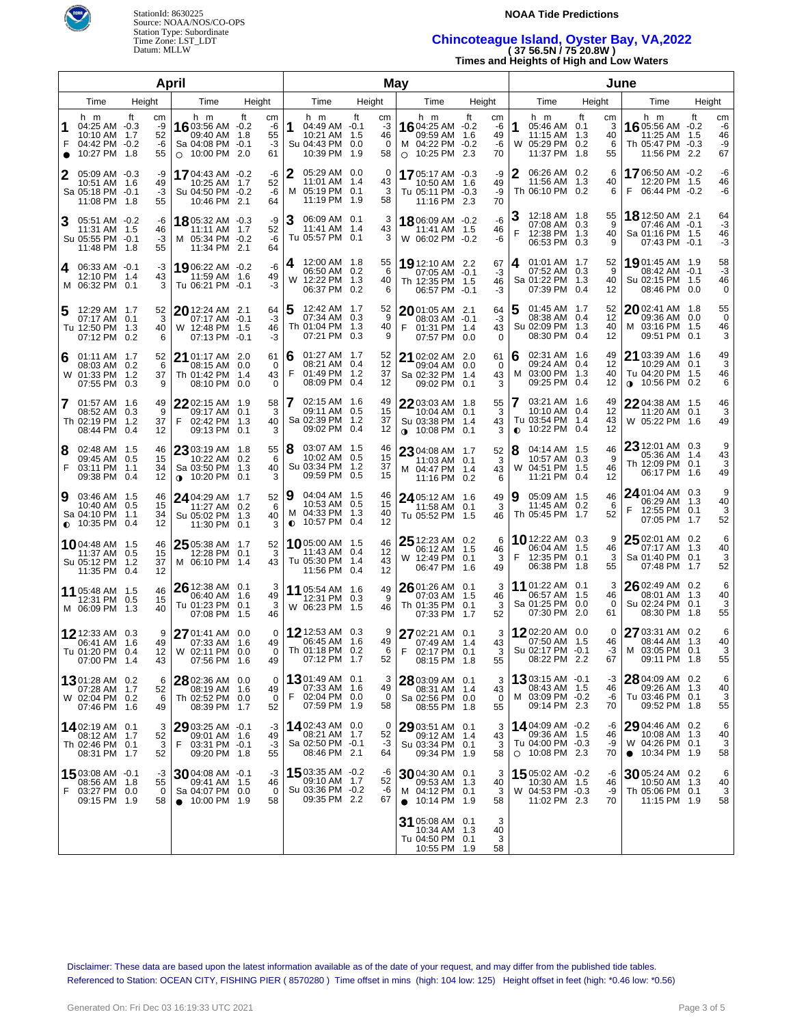



Time Zone: LST\_LDT **Chincoteague Island, Oyster Bay, VA,2022**  Datum: MLLW **( 37 56.5N / 75 20.8W )** 

**Times and Heights of High and Low Waters** 

|                |                                                                           | April                                   | May                                                                                       |                                               |                      |                                                                           |    |                                  | June      |                                                                                             |    |                            |           |                                                                              |     |                            |                                                                                |    |                            |
|----------------|---------------------------------------------------------------------------|-----------------------------------------|-------------------------------------------------------------------------------------------|-----------------------------------------------|----------------------|---------------------------------------------------------------------------|----|----------------------------------|-----------|---------------------------------------------------------------------------------------------|----|----------------------------|-----------|------------------------------------------------------------------------------|-----|----------------------------|--------------------------------------------------------------------------------|----|----------------------------|
|                | Time                                                                      | Height                                  | Time                                                                                      | Height                                        |                      | Time                                                                      |    | Height                           |           | Time                                                                                        |    | Height                     |           | Time                                                                         |     | Height                     | Time                                                                           |    | Height                     |
| 1<br>$\bullet$ | h m<br>04:25 AM -0.3<br>10:10 AM 1.7<br>04:42 PM -0.2<br>10:27 PM 1.8     | ft<br>сm<br>-9<br>52<br>-6<br>55        | h m<br>16 03:56 AM -0.2<br>09:40 AM 1.8<br>Sa 04:08 PM -0.1<br>O 10:00 PM 2.0             | ft<br>cm<br>-6<br>55<br>$-3$<br>61            | 1                    | h m<br>04:49 AM -0.1<br>10:21 AM 1.5<br>Su 04:43 PM 0.0<br>10:39 PM 1.9   | ft | cm<br>-3<br>46<br>$\Omega$<br>58 |           | h m<br><b>16</b> 04:25 AM $-0.2$<br>09:59 AM 1.6<br>M 04:22 PM -0.2<br>$\circ$ 10:25 PM 2.3 | ft | cm<br>-6<br>49<br>-6<br>70 | 1<br>W    | h m<br>05:46 AM 0.1<br>11:15 AM 1.3<br>05:29 PM 0.2<br>11:37 PM 1.8          | ft  | cm<br>3<br>40<br>6<br>55   | h m<br>16 05:56 AM -0.2<br>11:25 AM 1.5<br>Th 05:47 PM -0.3<br>11:56 PM 2.2    | ft | cm<br>-6<br>46<br>-9<br>67 |
| 2              | 05:09 AM -0.3<br>10:51 AM 1.6<br>Sa 05:18 PM -0.1<br>11:08 PM 1.8         | -9<br>49<br>-3<br>55                    | 1704:43 AM -0.2<br>10:25 AM 1.7<br>Su 04:50 PM -0.2<br>10:46 PM 2.1                       | -6<br>52<br>-6<br>64                          | 2<br>м               | 05:29 AM 0.0<br>11:01 AM 1.4<br>05:19 PM 0.1<br>11:19 PM 1.9              |    | 0<br>43<br>3<br>58               |           | 1705:17 AM -0.3<br>10:50 AM 1.6<br>Tu 05:11 PM -0.3<br>11:16 PM 2.3                         |    | -9<br>49<br>-9<br>70       | 2         | 06:26 AM 0.2<br>11:56 AM 1.3<br>Th 06:10 PM 0.2                              |     | 6<br>40<br>6               | 1706:50 AM -0.2<br>12:20 PM 1.5<br>F<br>06:44 PM -0.2                          |    | -6<br>46<br>-6             |
| 3              | 05:51 AM -0.2<br>11:31 AM 1.5<br>Su 05:55 PM -0.1<br>11:48 PM 1.8         | -6<br>46<br>-3<br>55                    | 1805:32 AM -0.3<br>11:11 AM 1.7<br>M 05:34 PM -0.2<br>11:34 PM 2.1                        | -9<br>52<br>-6<br>64                          | 3                    | 06:09 AM 0.1<br>11:41 AM 1.4<br>Tu 05:57 PM 0.1                           |    | 3<br>43<br>3                     |           | 1806:09 AM -0.2<br>11:41 AM 1.5<br>W 06:02 PM -0.2                                          |    | -6<br>46<br>-6             | F         | 12:18 AM 1.8<br>07:08 AM 0.3<br>12:38 PM 1.3<br>06:53 PM 0.3                 |     | 55<br>9<br>40<br>9         | 18 12:50 AM 2.1<br>07:46 AM -0.1<br>Sa 01:16 PM 1.5<br>07:43 PM -0.1           |    | 64<br>-3<br>46<br>-3       |
| 4              | 06:33 AM -0.1<br>12:10 PM 1.4<br>M 06:32 PM 0.1                           | -3<br>43<br>3                           | 1906:22 AM -0.2<br>11:59 AM 1.6<br>Tu 06:21 PM -0.1                                       | -6<br>49<br>-3                                | 4<br>W               | 12:00 AM 1.8<br>06:50 AM 0.2<br>12:22 PM 1.3<br>06:37 PM 0.2              |    | 55<br>6<br>40<br>6               |           | 19 12:10 AM 2.2<br>07:05 AM -0.1<br>Th 12:35 PM 1.5<br>06:57 PM -0.1                        |    | 67<br>-3<br>46<br>-3       | 4         | 01:01 AM 1.7<br>07:52 AM 0.3<br>Sa 01:22 PM 1.3<br>07:39 PM 0.4              |     | 52<br>9<br>40<br>12        | 19 01:45 AM 1.9<br>08:42 AM -0.1<br>Su 02:15 PM 1.5<br>08:46 PM 0.0            |    | 58<br>-3<br>46<br>0        |
| 5              | 12:29 AM 1.7<br>07:17 AM 0.1<br>Tu 12:50 PM 1.3<br>07:12 PM               | 52<br>3<br>40<br>0.2<br>6               | 20 12:24 AM 2.1<br>07:17 AM -0.1<br>W 12:48 PM 1.5<br>07:13 PM -0.1                       | 64<br>$-3$<br>46<br>-3                        |                      | 12:42 AM 1.7<br>07:34 AM 0.3<br>Th 01:04 PM 1.3<br>07:21 PM 0.3           |    | 52<br>9<br>40<br>9               | F         | 2001:05 AM 2.1<br>08:03 AM -0.1<br>01:31 PM 1.4<br>07:57 PM 0.0                             |    | 64<br>$-3$<br>43<br>0      |           | 01:45 AM 1.7<br>08:38 AM 0.4<br>Su 02:09 PM 1.3<br>08:30 PM 0.4              |     | 52<br>12<br>40<br>12       | 2002:41 AM 1.8<br>09:36 AM 0.0<br>M 03:16 PM 1.5<br>09:51 PM 0.1               |    | 55<br>$\Omega$<br>46<br>3  |
| 6              | $01:11$ AM $1.7$<br>08:03 AM 0.2<br>W 01:33 PM 1.2<br>07:55 PM            | 52<br>6<br>37<br>0.3<br>9               | <b>21</b> 01:17 AM 2.0<br>08:15 AM 0.0<br>Th 01:42 PM 1.4<br>08:10 PM                     | 61<br>$\overline{0}$<br>43<br>0.0<br>$\Omega$ | 6<br>F               | 01:27 AM 1.7<br>08:21 AM 0.4<br>01:49 PM 1.2<br>08:09 PM 0.4              |    | 52<br>12<br>37<br>12             |           | <b>21</b> 02:02 AM 2.0<br>09:04 AM 0.0<br>Sa 02:32 PM 1.4<br>09:02 PM 0.1                   |    | 61<br>0<br>43<br>3         | 6<br>м    | 02:31 AM 1.6<br>09:24 AM 0.4<br>03:00 PM 1.3<br>09:25 PM 0.4                 |     | 49<br>12<br>40<br>12       | 21 03:39 AM 1.6<br>10:29 AM 0.1<br>Tu 04:20 PM 1.5<br>$0.10:56$ PM 0.2         |    | 49<br>3<br>46<br>6         |
|                | 7 01:57 AM 1.6<br>08:52 AM 0.3<br>Th 02:19 PM 1.2<br>08:44 PM             | 49<br>9<br>37<br>0.4<br>12              | $2202:15$ AM $1.9$<br>09:17 AM 0.1<br>02:42 PM 1.3<br>F<br>09:13 PM 0.1                   | 58<br>3<br>40<br>3                            |                      | 02:15 AM 1.6<br>09:11 AM 0.5<br>Sa 02:39 PM 1.2<br>09:02 PM 0.4           |    | 49<br>15<br>37<br>12             |           | 22 03:03 AM 1.8<br>10:04 AM 0.1<br>Su 03:38 PM 1.4<br>$0.10:08$ PM 0.1                      |    | 55<br>3<br>43<br>3         | $\bullet$ | 03:21 AM 1.6<br>10:10 AM 0.4<br>Tu 03:54 PM 1.4<br>10:22 PM 0.4              |     | 49<br>12<br>43<br>12       | 22 04:38 AM 1.5<br>11:20 AM 0.1<br>W 05:22 PM 1.6                              |    | 46<br>3<br>49              |
| 8<br>F         | 02:48 AM 1.5<br>09:45 AM 0.5<br>03:11 PM<br>09:38 PM                      | 46<br>15<br>34<br>1.1<br>0.4<br>12      | 23 03:19 AM 1.8<br>10:22 AM 0.2<br>Sa 03:50 PM 1.3<br>$0.10:20 \text{ PM}$                | 55<br>6<br>40<br>0.1<br>3                     | 8                    | 03:07 AM 1.5<br>10:02 AM 0.5<br>Su 03:34 PM 1.2<br>09:59 PM 0.5           |    | 46<br>15<br>37<br>15             |           | 23 04:08 AM 1.7<br>11:03 AM 0.1<br>M 04:47 PM 1.4<br>11:16 PM 0.2                           |    | 52<br>3<br>43<br>6         | 8<br>W    | 04:14 AM 1.5<br>10:57 AM 0.3<br>04:51 PM 1.5<br>11:21 PM                     | 0.4 | 46<br>9<br>46<br>12        | 23 12:01 AM 0.3<br>05:36 AM 1.4<br>Th 12:09 PM 0.1<br>06:17 PM 1.6             |    | 9<br>43<br>3<br>49         |
| 9              | 03:46 AM 1.5<br>10:40 AM 0.5<br>Sa 04:10 PM<br>$\bullet$ 10:35 PM 0.4     | 46<br>15<br>1.1<br>34<br>12             | 24 04:29 AM 1.7<br>11:27 AM 0.2<br>Su 05:02 PM 1.3<br>11:30 PM 0.1                        | 52<br>6<br>40<br>3                            | Ι9<br>M<br>$\bullet$ | 04:04 AM 1.5<br>10:53 AM 0.5<br>04:33 PM 1.3<br>10:57 PM 0.4              |    | 46<br>15<br>40<br>12             |           | 24 05:12 AM 1.6<br>11:58 AM 0.1<br>Tu 05:52 PM 1.5                                          |    | 49<br>3<br>46              | 9         | 05:09 AM 1.5<br>11:45 AM 0.2<br>Th 05:45 PM 1.7                              |     | 46<br>6<br>52              | 24 01:04 AM 0.3<br>06:29 AM 1.3<br>F<br>12:55 PM 0.1<br>07:05 PM 1.7           |    | 9<br>40<br>3<br>52         |
|                | <b>10</b> 04:48 AM 1.5<br>11:37 AM 0.5<br>Su 05:12 PM 1.2<br>11:35 PM 0.4 | 46<br>15<br>37<br>12                    | 25 05:38 AM 1.7<br>12:28 PM 0.1<br>M 06:10 PM 1.4                                         | 52<br>3<br>43                                 |                      | <b>10</b> 05:00 AM 1.5<br>11:43 AM 0.4<br>Tu 05:30 PM 1.4<br>11:56 PM 0.4 |    | 46<br>12<br>43<br>12             |           | <b>25</b> 12:23 AM 0.2<br>06:12 AM 1.5<br>W 12:49 PM 0.1<br>06:47 PM 1.6                    |    | 6<br>46<br>3<br>49         | F         | 10 12:22 AM 0.3<br>06:04 AM 1.5<br>12:35 PM 0.1<br>06:38 PM 1.8              |     | 9<br>46<br>3<br>55         | $2502:01$ AM 0.2<br>07:17 AM 1.3<br>Sa 01:40 PM 0.1<br>07:48 PM 1.7            |    | 6<br>40<br>3<br>52         |
|                | 11 05:48 AM 1.5<br>12:31 PM 0.5<br>M 06:09 PM                             | 46<br>15<br>-1.3<br>40                  | 26 12:38 AM 0.1<br>06:40 AM 1.6<br>Tu 01:23 PM 0.1<br>07:08 PM 1.5                        | 3<br>49<br>3<br>46                            |                      | 11 05:54 AM 1.6<br>12:31 PM 0.3<br>W 06:23 PM 1.5                         |    | 49<br>9<br>46                    |           | $26$ 01:26 AM 0.1<br>07:03 AM 1.5<br>Th 01:35 PM 0.1<br>07:33 PM 1.7                        |    | 3<br>46<br>3<br>52         |           | 11 01:22 AM 0.1<br>06:57 AM 1.5<br>Sa 01:25 PM 0.0<br>07:30 PM 2.0           |     | 3<br>46<br>0<br>61         | 26 02:49 AM 0.2<br>08:01 AM 1.3<br>Su 02:24 PM 0.1<br>08:30 PM 1.8             |    | 6<br>40<br>3<br>55         |
|                | <b>12</b> 12:33 AM 0.3<br>06:41 AM 1.6<br>Tu 01:20 PM<br>07:00 PM 1.4     | 9<br>49<br>12 <sup>1</sup><br>0.4<br>43 | 27 01:41 AM 0.0<br>07:33 AM 1.6<br>W 02:11 PM 0.0<br>07:56 PM 1.6                         | $\mathbf 0$<br>49<br>$\Omega$<br>49           |                      | <b>12</b> 12:53 AM 0.3<br>06:45 AM 1.6<br>Th 01:18 PM 0.2<br>07:12 PM 1.7 |    | 9<br>49<br>6<br>52               | F.        | 27 02:21 AM 0.1<br>07:49 AM 1.4<br>02:17 PM 0.1<br>08:15 PM 1.8                             |    | 3<br>43<br>3<br>55         |           | 1202:20 AM 0.0<br>07:50 AM 1.5<br>Su 02:17 PM -0.1<br>08:22 PM 2.2           |     | $\Omega$<br>46<br>-3<br>67 | 27 03:31 AM 0.2<br>08:44 AM 1.3<br>M 03:05 PM 0.1<br>09:11 PM 1.8              |    | 6<br>40<br>3<br>55         |
|                | <b>13</b> 01:28 AM 0.2<br>07:28 AM 1.7<br>W 02:04 PM 0.2<br>07:46 PM 1.6  | 6<br>52<br>6<br>49                      | 28 02:36 AM 0.0<br>08:19 AM 1.6<br>Th 02:52 PM 0.0<br>08:39 PM 1.7                        | 0<br>49<br>$\Omega$<br>52                     | F                    | $1301:49$ AM 0.1<br>07:33 AM 1.6<br>02:04 PM 0.0<br>07:59 PM 1.9          |    | 3<br>49<br>0<br>58               |           | 28 03:09 AM 0.1<br>08:31 AM 1.4<br>Sa 02:56 PM 0.0<br>08:55 PM 1.8                          |    | 3<br>43<br>0<br>55         | м         | 1303:15 AM -0.1<br>08:43 AM 1.5<br>03:09 PM -0.2<br>09:14 PM 2.3             |     | -3<br>46<br>-6<br>70       | 28 04:09 AM 0.2<br>09:26 AM 1.3<br>Tu 03:46 PM 0.1<br>09:52 PM 1.8             |    | 6<br>40<br>3<br>55         |
|                | 1402:19 AM 0.1<br>08:12 AM 1.7<br>Th 02:46 PM 0.1<br>08:31 PM 1.7         | 3<br>52<br>3<br>52                      | $2903:25$ AM $-0.1$<br>09:01 AM 1.6<br>F<br>03:31 PM -0.1<br>09:20 PM 1.8                 | -3<br>49<br>-3<br>55                          |                      | 1402:43 AM 0.0<br>08:21 AM 1.7<br>Sa 02:50 PM -0.1<br>08:46 PM 2.1        |    | 0<br>52<br>-3<br>64              |           | 29 03:51 AM 0.1<br>09:12 AM 1.4<br>Su 03:34 PM 0.1<br>09:34 PM 1.9                          |    | 3<br>43<br>3<br>58         |           | 14 04:09 AM -0.2<br>09:36 AM 1.5<br>Tu 04:00 PM -0.3<br>$\circ$ 10:08 PM 2.3 |     | -6<br>46<br>-9<br>70       | 29 04:46 AM 0.2<br>10:08 AM 1.3<br>W 04:26 PM 0.1<br>10:34 PM 1.9<br>$\bullet$ |    | 6<br>40<br>3<br>58         |
| F              | 15 03:08 AM -0.1<br>08:56 AM 1.8<br>03:27 PM 0.0<br>09:15 PM 1.9          | -3<br>55<br>0<br>58                     | $30$ 04:08 AM $\,$ -0.1 $\,$<br>09:41 AM 1.5<br>Sa 04:07 PM 0.0<br>$\bullet$ 10:00 PM 1.9 | -3<br>46<br>$\Omega$<br>58                    |                      | 15 03:35 AM -0.2<br>09:10 AM 1.7<br>Su 03:36 PM -0.2<br>09:35 PM 2.2      |    | -6<br>52<br>-6<br>67             | $\bullet$ | $30$ 04:30 AM 0.1<br>09:53 AM 1.3<br>M 04:12 PM 0.1<br>10:14 PM 1.9                         |    | 3<br>40<br>3<br>58         |           | 1505:02 AM -0.2<br>10:30 AM 1.5<br>W 04:53 PM -0.3<br>11:02 PM 2.3           |     | -6<br>46<br>-9<br>70       | 30 05:24 AM 0.2<br>10:50 AM 1.3<br>Th 05:06 PM 0.1<br>11:15 PM 1.9             |    | 6<br>40<br>3<br>58         |
|                |                                                                           |                                         |                                                                                           |                                               |                      |                                                                           |    |                                  |           | 31 05:08 AM 0.1<br>10:34 AM 1.3<br>Tu 04:50 PM 0.1<br>10:55 PM 1.9                          |    | 3<br>40<br>3<br>58         |           |                                                                              |     |                            |                                                                                |    |                            |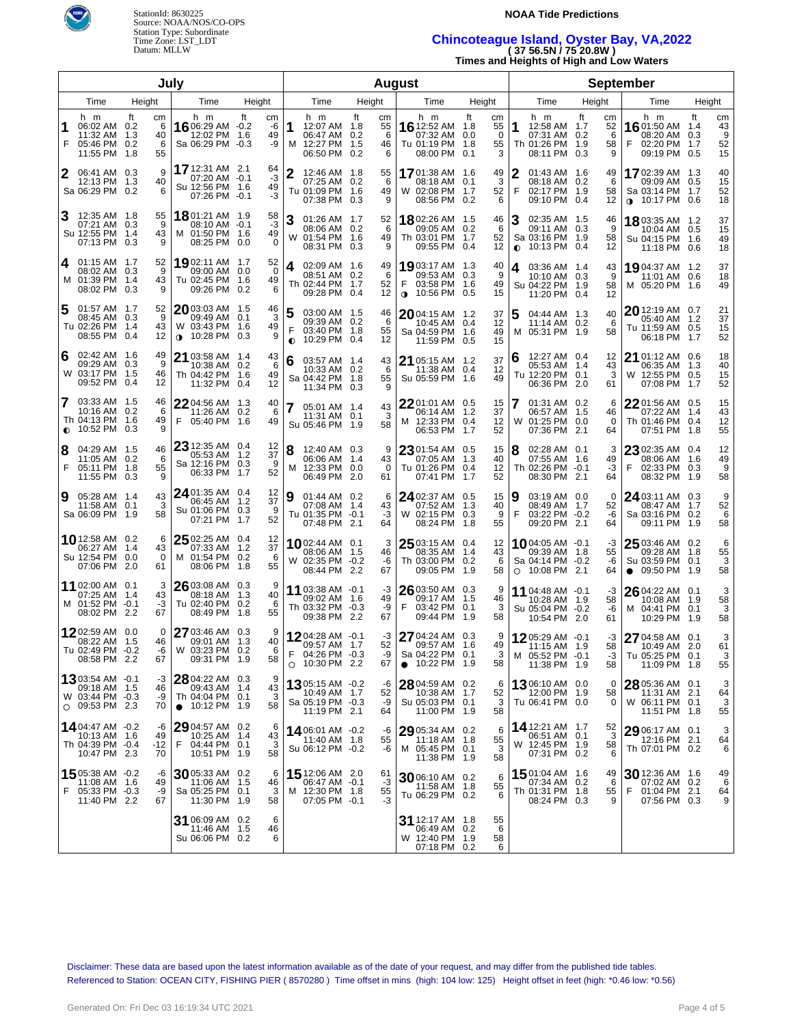



Time Zone: LST\_LDT **Chincoteague Island, Oyster Bay, VA,2022**  Datum: MLLW **( 37 56.5N / 75 20.8W )** 

**Times and Heights of High and Low Waters** 

| July           |                                                                           |                                |                                                                                 |                              |                     | <b>August</b>                                                              |     |                           |                                                                              |                                              |                | <b>September</b>                                                                      |     |                           |                                                                              |                  |                           |
|----------------|---------------------------------------------------------------------------|--------------------------------|---------------------------------------------------------------------------------|------------------------------|---------------------|----------------------------------------------------------------------------|-----|---------------------------|------------------------------------------------------------------------------|----------------------------------------------|----------------|---------------------------------------------------------------------------------------|-----|---------------------------|------------------------------------------------------------------------------|------------------|---------------------------|
| Time<br>Height |                                                                           | Time                           | Height                                                                          |                              | Time                | Height                                                                     |     | Time                      | Height                                                                       |                                              | Time           | Height                                                                                |     | Time                      | Height                                                                       |                  |                           |
| F              | h m<br>06:02 AM 0.2<br>11:32 AM 1.3<br>05:46 PM 0.2<br>11:55 PM 1.8       | tt<br>cm<br>6<br>40<br>6<br>55 | h m<br>16 06:29 AM -0.2<br>12:02 PM 1.6<br>Sa 06:29 PM -0.3                     | ft<br>cm<br>-6<br>49<br>-9   | 1                   | h m<br>12:07 AM 1.8<br>06:47 AM 0.2<br>M 12:27 PM 1.5<br>06:50 PM 0.2      | ft  | сm<br>55<br>6<br>46<br>6  | h m<br><b>16</b> 12:52 AM 1.8<br>07:32 AM<br>Tu 01:19 PM<br>08:00 PM 0.1     | tt<br>cm<br>55<br>0<br>0.0<br>55<br>1.8<br>3 | 1              | h m<br>12:58 AM 1.7<br>07:31 AM 0.2<br>Th 01:26 PM 1.9<br>08:11 PM 0.3                | tt  | cm<br>52<br>6<br>58<br>9  | h m<br><b>16</b> 01:50 AM 1.4<br>08:20 AM<br>02:20 PM<br>09:19 PM 0.5        | tt<br>0.3<br>1.7 | cm<br>43<br>9<br>52<br>15 |
| 2              | 06:41 AM 0.3<br>12:13 PM<br>Sa 06:29 PM 0.2                               | 9<br>40<br>1.3<br>6            | 17 12:31 AM 2.1<br>07:20 AM -0.1<br>Su 12:56 PM 1.6<br>07:26 PM -0.1            | 64<br>-3<br>49<br>-3         | $\mathbf{2}$        | 12:46 AM 1.8<br>07:25 AM 0.2<br>Tu 01:09 PM 1.6<br>07:38 PM 0.3            |     | 55<br>6<br>49<br>9        | 1701:38 AM 1.6<br>08:18 AM<br>W 02:08 PM 1.7<br>08:56 PM 0.2                 | 49<br>3<br>0.1<br>52<br>6                    | 2<br>F         | 01:43 AM 1.6<br>08:18 AM 0.2<br>02:17 PM 1.9<br>09:10 PM 0.4                          |     | 49<br>6<br>58<br>12       | 17 02:39 AM 1.3<br>09:09 AM 0.5<br>Sa 03:14 PM 1.7<br>$\bullet$ 10:17 PM 0.6 |                  | 40<br>15<br>52<br>18      |
|                | 12:35 AM 1.8<br>07:21 AM 0.3<br>Su 12:55 PM 1.4<br>07:13 PM 0.3           | 55<br>9<br>43<br>9             | 1801:21 AM 1.9<br>08:10 AM -0.1<br>M 01:50 PM 1.6<br>08:25 PM 0.0               | 58<br>-3<br>49<br>0          | 3                   | 01:26 AM 1.7<br>08:06 AM 0.2<br>W 01:54 PM 1.6<br>08:31 PM 0.3             |     | 52<br>6<br>49<br>9        | 1802:26 AM 1.5<br>09:05 AM<br>Th 03:01 PM 1.7<br>09:55 PM 0.4                | 46<br>0.2<br>6<br>52<br>12                   | 3<br>$\bullet$ | 02:35 AM 1.5<br>09:11 AM 0.3<br>Sa 03:16 PM 1.9<br>10:13 PM 0.4                       |     | 46<br>9<br>58<br>12       | <b>18</b> 03:35 AM 1.2<br>10:04 AM 0.5<br>Su 04:15 PM 1.6<br>11:18 PM 0.6    |                  | 37<br>15<br>49<br>18      |
| 4              | $01:15$ AM $1.7$<br>08:02 AM 0.3<br>M 01:39 PM 1.4<br>08:02 PM 0.3        | 52<br>9<br>43<br>9             | 19 02:11 AM 1.7<br>09:00 AM 0.0<br>Tu 02:45 PM 1.6<br>09:26 PM 0.2              | 52<br>$\mathbf 0$<br>49<br>6 | 4                   | 02:09 AM 1.6<br>08:51 AM 0.2<br>Th 02:44 PM 1.7<br>09:28 PM 0.4            |     | 49<br>6<br>52<br>12       | 19 03:17 AM 1.3<br>09:53 AM<br>03:58 PM 1.6<br>F<br>$\bullet$ 10:56 PM 0.5   | 40<br>9<br>0.3<br>49<br>15                   | 4              | 03:36 AM 1.4<br>10:10 AM 0.3<br>Su 04:22 PM 1.9<br>11:20 PM 0.4                       |     | 43<br>9<br>58<br>12       | 19 04:37 AM 1.2<br>11:01 AM 0.6<br>M 05:20 PM 1.6                            |                  | 37<br>18<br>49            |
| 5              | 01:57 AM 1.7<br>08:45 AM 0.3<br>Tu 02:26 PM 1.4<br>08:55 PM 0.4           | 52<br>9<br>43<br>12            | 2003:03 AM 1.5<br>09:49 AM   0.1<br>W 03:43 PM 1.6<br>10:28 PM 0.3<br>$\bullet$ | 46<br>3<br>49<br>9           | 5<br>F<br>$\bullet$ | 03:00 AM 1.5<br>09:39 AM 0.2<br>03:40 PM 1.8<br>10:29 PM 0.4               |     | 46<br>6<br>55<br>12       | 2004:15 AM 1.2<br>10:45 AM 0.4<br>Sa 04:59 PM 1.6<br>11:59 PM 0.5            | 37<br>12<br>49<br>15                         | 5              | 04:44 AM 1.3<br>11:14 AM 0.2<br>M 05:31 PM 1.9                                        |     | 40<br>6<br>58             | $20$ 12:19 AM 0.7<br>05:40 AM 1.2<br>Tu 11:59 AM 0.5<br>06:18 PM             | 1.7              | 21<br>37<br>15<br>52      |
| 6              | 02:42 AM 1.6<br>09:29 AM 0.3<br>W 03:17 PM 1.5<br>09:52 PM 0.4            | 49<br>9<br>46<br>12            | $2103:58$ AM $1.4$<br>10:38 AM 0.2<br>Th 04:42 PM 1.6<br>11:32 PM 0.4           | 43<br>6<br>49<br>12          | 6                   | 03:57 AM 1.4<br>10:33 AM 0.2<br>Sa 04:42 PM 1.8<br>11:34 PM 0.3            |     | 43<br>6<br>55<br>9        | 21 05:15 AM 1.2<br>11:38 AM 0.4<br>Su 05:59 PM 1.6                           | 37<br>12<br>49                               |                | 12:27 AM 0.4<br>05:53 AM 1.4<br>Tu 12:20 PM 0.1<br>06:36 PM 2.0                       |     | 12<br>43<br>3<br>61       | $21$ 01:12 AM 0.6<br>06:35 AM 1.3<br>W 12:55 PM 0.5<br>07:08 PM              | 1.7              | 18<br>40<br>15<br>52      |
| 7              | 03:33 AM 1.5<br>10:16 AM 0.2<br>Th 04:13 PM 1.6<br>$\bullet$ 10:52 PM 0.3 | 46<br>6<br>49<br>9             | $2204:56$ AM $1.3$<br>11:26 AM 0.2<br>F<br>05:40 PM 1.6                         | 40<br>6<br>49                |                     | 05:01 AM 1.4<br>11:31 AM 0.1<br>Su 05:46 PM 1.9                            |     | 43<br>3<br>58             | 22 01:01 AM 0.5<br>06:14 AM 1.2<br>M 12:33 PM 0.4<br>06:53 PM                | 15<br>37<br>12<br>1.7<br>52                  | W              | 01:31 AM 0.2<br>06:57 AM 1.5<br>01:25 PM 0.0<br>07:36 PM                              | 2.1 | 6<br>46<br>$\Omega$<br>64 | $2201:56$ AM 0.5<br>07:22 AM 1.4<br>Th 01:46 PM 0.4<br>07:51 PM              | 1.8              | 15<br>43<br>12<br>55      |
| 8<br>F         | 04:29 AM 1.5<br>11:05 AM 0.2<br>05:11 PM 1.8<br>11:55 PM 0.3              | 46<br>6<br>55                  | 23 12:35 AM 0.4<br>05:53 AM 1.2<br>Sa 12:16 PM 0.3<br>06:33 PM 1.7              | 12<br>37<br>9<br>52          | 8<br>м              | 12:40 AM 0.3<br>06:06 AM 1.4<br>12:33 PM 0.0<br>06:49 PM 2.0               |     | 9<br>43<br>$\Omega$<br>61 | $2301:54$ AM 0.5<br>07:05 AM 1.3<br>Tu 01:26 PM 0.4<br>07:41 PM              | 15<br>40<br>12<br>1.7<br>52                  |                | 02:28 AM 0.1<br>07:55 AM 1.6<br>Th 02:26 PM -0.1<br>08:30 PM 2.1                      |     | 3<br>49<br>-3<br>64       | $2302:35$ AM $0.4$<br>08:06 AM 1.6<br>F<br>02:33 PM 0.3<br>08:32 PM          | 1.9              | 12<br>49<br>9<br>58       |
| 9              | 05:28 AM 1.4<br>11:58 AM 0.1<br>Sa 06:09 PM 1.9                           | 43<br>3<br>58                  | 24 01:35 AM 0.4<br>06:45 AM 1.2<br>Su 01:06 PM 0.3<br>07:21 PM 1.7              | 12<br>37<br>9<br>52          | 9                   | 01:44 AM 0.2<br>07:08 AM 1.4<br>Tu 01:35 PM -0.1<br>07:48 PM               | 2.1 | 6<br>43<br>-3<br>64       | 24 02:37 AM 0.5<br>07:52 AM<br>W 02:15 PM 0.3<br>08:24 PM                    | 15<br>1.3<br>40<br>9<br>55<br>1.8            | 9<br>F         | 03:19 AM 0.0<br>08:49 AM 1.7<br>03:22 PM -0.2<br>09:20 PM 2.1                         |     | 0<br>52<br>-6<br>64       | $24$ 03:11 AM 0.3<br>08:47 AM 1.7<br>Sa 03:16 PM 0.2<br>09:11 PM 1.9         |                  | 9<br>52<br>6<br>58        |
|                | 1012:58 AM 0.2<br>06:27 AM 1.4<br>Su 12:54 PM 0.0<br>07:06 PM 2.0         | 6<br>43<br>0<br>61             | 25 02:25 AM 0.4<br>07:33 AM 1.2<br>M 01:54 PM 0.2<br>08:06 PM 1.8               | 12<br>37<br>- 6<br>55        |                     | <b>10</b> 02:44 AM 0.1<br>08:06 AM 1.5<br>W 02:35 PM -0.2<br>08:44 PM 2.2  |     | 3<br>46<br>-6<br>67       | $2503:15$ AM 0.4<br>08:35 AM 1.4<br>Th 03:00 PM 0.2<br>09:05 PM 1.9          | 12<br>43<br>6<br>58                          |                | $10^{04:05 \text{ AM } -0.1}$<br>09:39 AM 1.8<br>Sa 04:14 PM -0.2<br>$O$ 10:08 PM 2.1 |     | -3<br>55<br>-6<br>64      | $2503:46$ AM 0.2<br>09:28 AM 1.8<br>Su 03:59 PM 0.1<br>$\bullet$ 09:50 PM    | 1.9              | 6<br>55<br>3<br>58        |
|                | 11 02:00 AM 0.1<br>07:25 AM 1.4<br>M 01:52 PM -0.1<br>08:02 PM 2.2        | 3<br>43<br>-3<br>67            | 26 03:08 AM 0.3<br>08:18 AM 1.3<br>Tu 02:40 PM 0.2<br>08:49 PM 1.8              | 9<br>40<br>6<br>55           |                     | 11 03:38 AM -0.1<br>09:02 AM 1.6<br>Th 03:32 PM -0.3<br>09:38 PM           | 2.2 | -3<br>49<br>-9<br>67      | $2603:50$ AM 0.3<br>09:17 AM 1.5<br>F<br>03:42 PM 0.1<br>09:44 PM            | 9<br>46<br>3<br>1.9<br>58                    |                | 11 04:48 AM -0.1<br>10:28 AM 1.9<br>Su 05:04 PM -0.2<br>10:54 PM 2.0                  |     | -3<br>58<br>-6<br>61      | 26 04:22 AM 0.1<br>10:08 AM 1.9<br>M 04:41 PM 0.1<br>10:29 PM                | 1.9              | 3<br>58<br>3<br>58        |
|                | 1202:59 AM 0.0<br>08:22 AM 1.5<br>Tu 02:49 PM -0.2<br>08:58 PM 2.2        | 0<br>46<br>-6<br>67            | 27 03:46 AM 0.3<br>09:01 AM 1.3<br>W 03:23 PM 0.2<br>09:31 PM 1.9               | 9<br>40<br>6<br>58           | F                   | 1204:28 AM $-0.1$<br>09:57 AM 1.7<br>04:26 PM -0.3<br>$\circ$ 10:30 PM 2.2 |     | -3<br>52<br>-9<br>67      | 27 04:24 AM 0.3<br>09:57 AM 1.6<br>Sa 04:22 PM 0.1<br>$\bullet$ 10:22 PM 1.9 | 9<br>49<br>3<br>58                           |                | 1205:29 AM -0.1<br>11:15 AM 1.9<br>M 05:52 PM -0.1<br>11:38 PM 1.9                    |     | -3<br>58<br>-3<br>58      | 27 04:58 AM 0.1<br>10:49 AM 2.0<br>Tu 05:25 PM 0.1<br>11:09 PM 1.8           |                  | 3<br>61<br>55             |
|                | 1303:54 AM -0.1<br>09:18 AM 1.5<br>W 03:44 PM -0.3<br>$O$ 09:53 PM 2.3    | -3<br>46<br>-9<br>70           | 28 04:22 AM 0.3<br>09:43 AM 1.4<br>Th 04:04 PM 0.1<br>$\bullet$ 10:12 PM 1.9    | 9<br>43<br>3<br>58           |                     | 1305:15 AM -0.2<br>10:49 AM 1.7<br>Sa 05:19 PM -0.3<br>11:19 PM 2.1        |     | -6<br>52<br>-9<br>64      | 28 04:59 AM 0.2<br>10:38 AM 1.7<br>Su 05:03 PM 0.1<br>11:00 PM 1.9           | 6<br>52<br>3<br>58                           |                | 1306:10 AM 0.0<br>12:00 PM 1.9<br>Tu 06:41 PM 0.0                                     |     | 0<br>58<br>0              | 28 05:36 AM 0.1<br>11:31 AM 2.1<br>W 06:11 PM 0.1<br>11:51 PM 1.8            |                  | 3<br>64<br>3<br>55        |
|                | 14 04:47 AM -0.2<br>10:13 AM 1.6<br>Th 04:39 PM -0.4<br>10:47 PM 2.3      | -6<br>49<br>-12<br>70          | 29 04:57 AM 0.2<br>10:25 AM 1.4<br>F<br>04:44 PM 0.1<br>10:51 PM 1.9            | 6<br>43<br>3<br>58           |                     | <b>14</b> 06:01 AM -0.2<br>11:40 AM 1.8<br>Su 06:12 PM -0.2                |     | -6<br>55<br>-6            | 29 05:34 AM 0.2<br>11:18 AM 1.8<br>M 05:45 PM 0.1<br>11:38 PM 1.9            | 6<br>55<br>3<br>58                           |                | 14 12:21 AM 1.7<br>06:51 AM 0.1<br>W 12:45 PM 1.9<br>07:31 PM 0.2                     |     | 52<br>3<br>58<br>6        | 29 06:17 AM 0.1<br>12:16 PM 2.1<br>Th 07:01 PM 0.2                           |                  | 3<br>64<br>6              |
| F              | 1505:38 AM -0.2<br>11:08 AM 1.6<br>05:33 PM -0.3<br>11:40 PM 2.2          | -6<br>49<br>-9<br>67           | $30$ 05:33 AM 0.2<br>11:06 AM 1.5<br>Sa 05:25 PM 0.1<br>11:30 PM 1.9            | 6<br>46<br>3<br>58           |                     | <b>15</b> 12:06 AM 2.0<br>06:47 AM -0.1<br>M 12:30 PM 1.8<br>07:05 PM -0.1 |     | 61<br>-3<br>55<br>-3      | 30 06:10 AM 0.2<br>11:58 AM 1.8<br>Tu 06:29 PM 0.2                           | 6<br>55<br>6                                 |                | 1501:04 AM 1.6<br>07:34 AM 0.2<br>Th 01:31 PM 1.8<br>08:24 PM 0.3                     |     | 49<br>6<br>55<br>9        | 30 12:36 AM 1.6<br>07:02 AM 0.2<br>01:04 PM 2.1<br>F<br>07:56 PM 0.3         |                  | 49<br>6<br>64<br>9        |
|                |                                                                           |                                | 31 06:09 AM 0.2<br>11:46 AM 1.5<br>Su 06:06 PM 0.2                              | 6<br>46<br>6                 |                     |                                                                            |     |                           | 31 12:17 AM 1.8<br>06:49 AM 0.2<br>W 12:40 PM 1.9<br>07:18 PM 0.2            | 55<br>6<br>58<br>6                           |                |                                                                                       |     |                           |                                                                              |                  |                           |